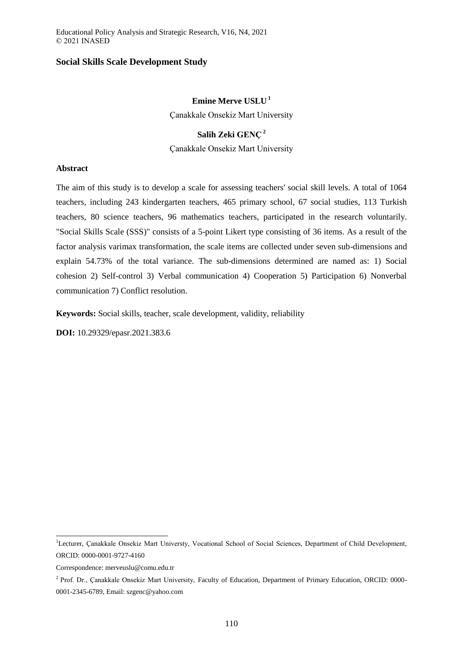Educational Policy Analysis and Strategic Research, V16, N4, 2021 © 2021 INASED

### **Social Skills Scale Development Study**

# **Emine Merve USLU <sup>1</sup>** Çanakkale Onsekiz Mart University

## **Salih Zeki GENÇ <sup>2</sup>**

Çanakkale Onsekiz Mart University

## **Abstract**

The aim of this study is to develop a scale for assessing teachers' social skill levels. A total of 1064 teachers, including 243 kindergarten teachers, 465 primary school, 67 social studies, 113 Turkish teachers, 80 science teachers, 96 mathematics teachers, participated in the research voluntarily. "Social Skills Scale (SSS)" consists of a 5-point Likert type consisting of 36 items. As a result of the factor analysis varimax transformation, the scale items are collected under seven sub-dimensions and explain 54.73% of the total variance. The sub-dimensions determined are named as: 1) Social cohesion 2) Self-control 3) Verbal communication 4) Cooperation 5) Participation 6) Nonverbal communication 7) Conflict resolution.

**Keywords:** Social skills, teacher, scale development, validity, reliability

**DOI:** 10.29329/epasr.2021.383.6

 $\overline{a}$ 

<sup>&</sup>lt;sup>1</sup>Lecturer, Çanakkale Onsekiz Mart Universty, Vocational School of Social Sciences, Department of Child Development, ORCID: 0000-0001-9727-4160

Correspondence: merveuslu@comu.edu.tr

<sup>&</sup>lt;sup>2</sup> Prof. Dr., Çanakkale Onsekiz Mart University, Faculty of Education, Department of Primary Education, ORCID: 0000-0001-2345-6789, Email: szgenc@yahoo.com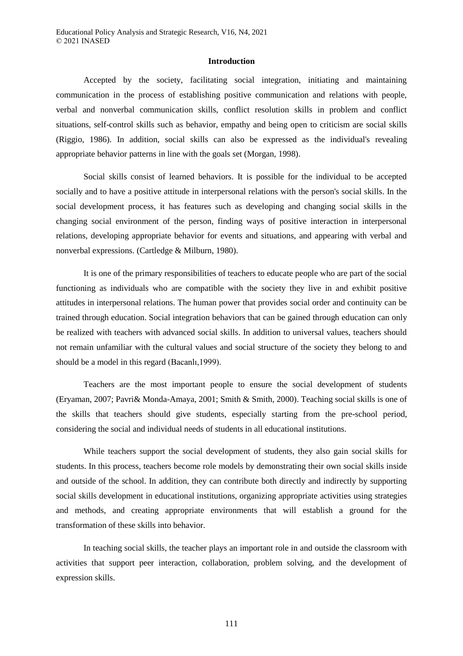#### **Introduction**

Accepted by the society, facilitating social integration, initiating and maintaining communication in the process of establishing positive communication and relations with people, verbal and nonverbal communication skills, conflict resolution skills in problem and conflict situations, self-control skills such as behavior, empathy and being open to criticism are social skills (Riggio, 1986). In addition, social skills can also be expressed as the individual's revealing appropriate behavior patterns in line with the goals set (Morgan, 1998).

Social skills consist of learned behaviors. It is possible for the individual to be accepted socially and to have a positive attitude in interpersonal relations with the person's social skills. In the social development process, it has features such as developing and changing social skills in the changing social environment of the person, finding ways of positive interaction in interpersonal relations, developing appropriate behavior for events and situations, and appearing with verbal and nonverbal expressions. (Cartledge & Milburn, 1980).

It is one of the primary responsibilities of teachers to educate people who are part of the social functioning as individuals who are compatible with the society they live in and exhibit positive attitudes in interpersonal relations. The human power that provides social order and continuity can be trained through education. Social integration behaviors that can be gained through education can only be realized with teachers with advanced social skills. In addition to universal values, teachers should not remain unfamiliar with the cultural values and social structure of the society they belong to and should be a model in this regard (Bacanlı,1999).

Teachers are the most important people to ensure the social development of students (Eryaman, 2007; Pavri& Monda-Amaya, 2001; Smith & Smith, 2000). Teaching social skills is one of the skills that teachers should give students, especially starting from the pre-school period, considering the social and individual needs of students in all educational institutions.

While teachers support the social development of students, they also gain social skills for students. In this process, teachers become role models by demonstrating their own social skills inside and outside of the school. In addition, they can contribute both directly and indirectly by supporting social skills development in educational institutions, organizing appropriate activities using strategies and methods, and creating appropriate environments that will establish a ground for the transformation of these skills into behavior.

In teaching social skills, the teacher plays an important role in and outside the classroom with activities that support peer interaction, collaboration, problem solving, and the development of expression skills.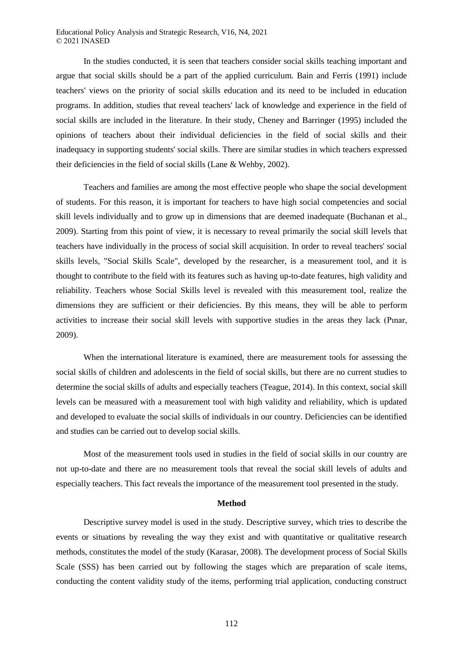In the studies conducted, it is seen that teachers consider social skills teaching important and argue that social skills should be a part of the applied curriculum. Bain and Ferris (1991) include teachers' views on the priority of social skills education and its need to be included in education programs. In addition, studies that reveal teachers' lack of knowledge and experience in the field of social skills are included in the literature. In their study, Cheney and Barringer (1995) included the opinions of teachers about their individual deficiencies in the field of social skills and their inadequacy in supporting students' social skills. There are similar studies in which teachers expressed their deficiencies in the field of social skills (Lane & Wehby, 2002).

Teachers and families are among the most effective people who shape the social development of students. For this reason, it is important for teachers to have high social competencies and social skill levels individually and to grow up in dimensions that are deemed inadequate (Buchanan et al., 2009). Starting from this point of view, it is necessary to reveal primarily the social skill levels that teachers have individually in the process of social skill acquisition. In order to reveal teachers' social skills levels, "Social Skills Scale", developed by the researcher, is a measurement tool, and it is thought to contribute to the field with its features such as having up-to-date features, high validity and reliability. Teachers whose Social Skills level is revealed with this measurement tool, realize the dimensions they are sufficient or their deficiencies. By this means, they will be able to perform activities to increase their social skill levels with supportive studies in the areas they lack (Pınar, 2009).

When the international literature is examined, there are measurement tools for assessing the social skills of children and adolescents in the field of social skills, but there are no current studies to determine the social skills of adults and especially teachers (Teague, 2014). In this context, social skill levels can be measured with a measurement tool with high validity and reliability, which is updated and developed to evaluate the social skills of individuals in our country. Deficiencies can be identified and studies can be carried out to develop social skills.

Most of the measurement tools used in studies in the field of social skills in our country are not up-to-date and there are no measurement tools that reveal the social skill levels of adults and especially teachers. This fact reveals the importance of the measurement tool presented in the study.

#### **Method**

Descriptive survey model is used in the study. Descriptive survey, which tries to describe the events or situations by revealing the way they exist and with quantitative or qualitative research methods, constitutes the model of the study (Karasar, 2008). The development process of Social Skills Scale (SSS) has been carried out by following the stages which are preparation of scale items, conducting the content validity study of the items, performing trial application, conducting construct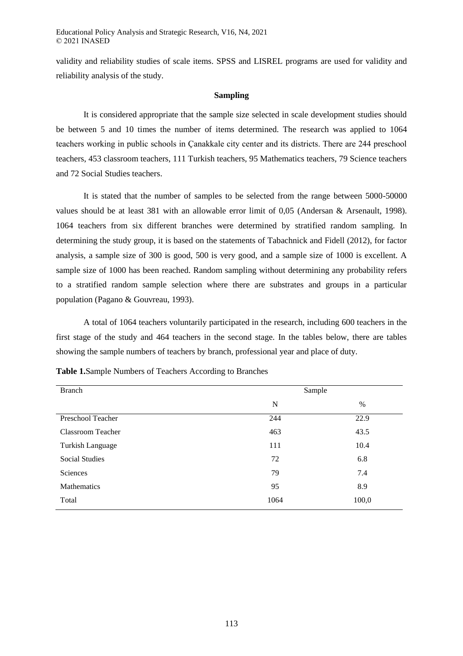validity and reliability studies of scale items. SPSS and LISREL programs are used for validity and reliability analysis of the study.

### **Sampling**

It is considered appropriate that the sample size selected in scale development studies should be between 5 and 10 times the number of items determined. The research was applied to 1064 teachers working in public schools in Çanakkale city center and its districts. There are 244 preschool teachers, 453 classroom teachers, 111 Turkish teachers, 95 Mathematics teachers, 79 Science teachers and 72 Social Studies teachers.

It is stated that the number of samples to be selected from the range between 5000-50000 values should be at least 381 with an allowable error limit of 0,05 (Andersan & Arsenault, 1998). 1064 teachers from six different branches were determined by stratified random sampling. In determining the study group, it is based on the statements of Tabachnick and Fidell (2012), for factor analysis, a sample size of 300 is good, 500 is very good, and a sample size of 1000 is excellent. A sample size of 1000 has been reached. Random sampling without determining any probability refers to a stratified random sample selection where there are substrates and groups in a particular population (Pagano & Gouvreau, 1993).

A total of 1064 teachers voluntarily participated in the research, including 600 teachers in the first stage of the study and 464 teachers in the second stage. In the tables below, there are tables showing the sample numbers of teachers by branch, professional year and place of duty.

| <b>Branch</b>         | Sample |       |  |  |  |
|-----------------------|--------|-------|--|--|--|
|                       | N      | $\%$  |  |  |  |
| Preschool Teacher     | 244    | 22.9  |  |  |  |
| Classroom Teacher     | 463    | 43.5  |  |  |  |
| Turkish Language      | 111    | 10.4  |  |  |  |
| <b>Social Studies</b> | 72     | 6.8   |  |  |  |
| Sciences              | 79     | 7.4   |  |  |  |
| Mathematics           | 95     | 8.9   |  |  |  |
| Total                 | 1064   | 100,0 |  |  |  |

| Table 1.Sample Numbers of Teachers According to Branches |  |  |  |  |
|----------------------------------------------------------|--|--|--|--|
|----------------------------------------------------------|--|--|--|--|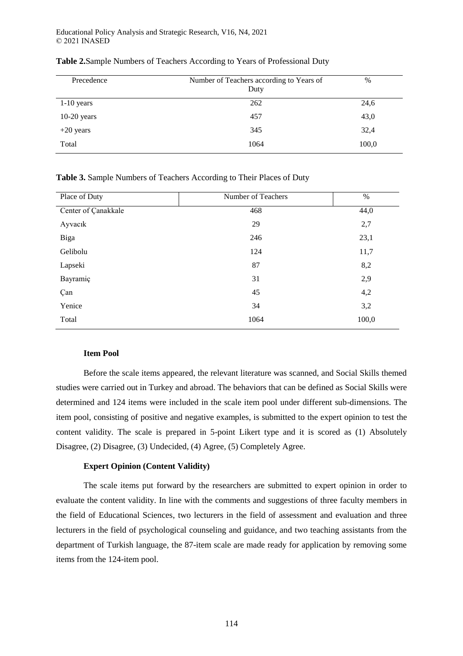| Precedence    | Number of Teachers according to Years of | $\%$  |
|---------------|------------------------------------------|-------|
|               | Duty                                     |       |
| $1-10$ years  | 262                                      | 24,6  |
| $10-20$ years | 457                                      | 43,0  |
| $+20$ years   | 345                                      | 32,4  |
| Total         | 1064                                     | 100,0 |

## **Table 2.**Sample Numbers of Teachers According to Years of Professional Duty

**Table 3.** Sample Numbers of Teachers According to Their Places of Duty

| Place of Duty       | Number of Teachers | $\%$  |
|---------------------|--------------------|-------|
| Center of Çanakkale | 468                | 44,0  |
| Ayvacık             | 29                 | 2,7   |
| Biga                | 246                | 23,1  |
| Gelibolu            | 124                | 11,7  |
| Lapseki             | 87                 | 8,2   |
| Bayramiç            | 31                 | 2,9   |
| Çan                 | 45                 | 4,2   |
| Yenice              | 34                 | 3,2   |
| Total               | 1064               | 100,0 |

## **Item Pool**

Before the scale items appeared, the relevant literature was scanned, and Social Skills themed studies were carried out in Turkey and abroad. The behaviors that can be defined as Social Skills were determined and 124 items were included in the scale item pool under different sub-dimensions. The item pool, consisting of positive and negative examples, is submitted to the expert opinion to test the content validity. The scale is prepared in 5-point Likert type and it is scored as (1) Absolutely Disagree, (2) Disagree, (3) Undecided, (4) Agree, (5) Completely Agree.

## **Expert Opinion (Content Validity)**

The scale items put forward by the researchers are submitted to expert opinion in order to evaluate the content validity. In line with the comments and suggestions of three faculty members in the field of Educational Sciences, two lecturers in the field of assessment and evaluation and three lecturers in the field of psychological counseling and guidance, and two teaching assistants from the department of Turkish language, the 87-item scale are made ready for application by removing some items from the 124-item pool.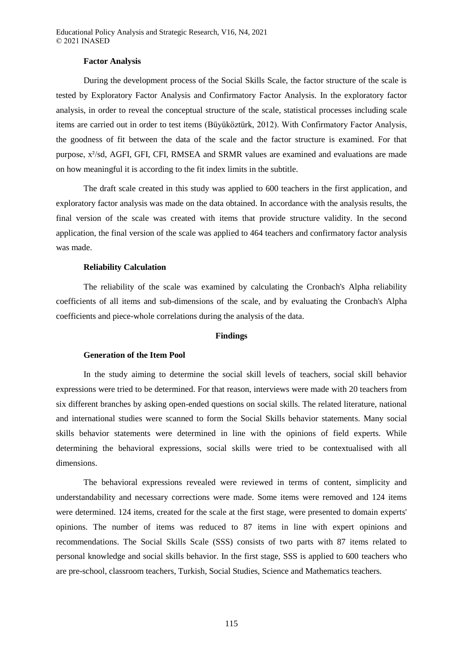#### **Factor Analysis**

During the development process of the Social Skills Scale, the factor structure of the scale is tested by Exploratory Factor Analysis and Confirmatory Factor Analysis. In the exploratory factor analysis, in order to reveal the conceptual structure of the scale, statistical processes including scale items are carried out in order to test items (Büyüköztürk, 2012). With Confirmatory Factor Analysis, the goodness of fit between the data of the scale and the factor structure is examined. For that purpose, x²/sd, AGFI, GFI, CFI, RMSEA and SRMR values are examined and evaluations are made on how meaningful it is according to the fit index limits in the subtitle.

The draft scale created in this study was applied to 600 teachers in the first application, and exploratory factor analysis was made on the data obtained. In accordance with the analysis results, the final version of the scale was created with items that provide structure validity. In the second application, the final version of the scale was applied to 464 teachers and confirmatory factor analysis was made.

#### **Reliability Calculation**

The reliability of the scale was examined by calculating the Cronbach's Alpha reliability coefficients of all items and sub-dimensions of the scale, and by evaluating the Cronbach's Alpha coefficients and piece-whole correlations during the analysis of the data.

#### **Findings**

#### **Generation of the Item Pool**

In the study aiming to determine the social skill levels of teachers, social skill behavior expressions were tried to be determined. For that reason, interviews were made with 20 teachers from six different branches by asking open-ended questions on social skills. The related literature, national and international studies were scanned to form the Social Skills behavior statements. Many social skills behavior statements were determined in line with the opinions of field experts. While determining the behavioral expressions, social skills were tried to be contextualised with all dimensions.

The behavioral expressions revealed were reviewed in terms of content, simplicity and understandability and necessary corrections were made. Some items were removed and 124 items were determined. 124 items, created for the scale at the first stage, were presented to domain experts' opinions. The number of items was reduced to 87 items in line with expert opinions and recommendations. The Social Skills Scale (SSS) consists of two parts with 87 items related to personal knowledge and social skills behavior. In the first stage, SSS is applied to 600 teachers who are pre-school, classroom teachers, Turkish, Social Studies, Science and Mathematics teachers.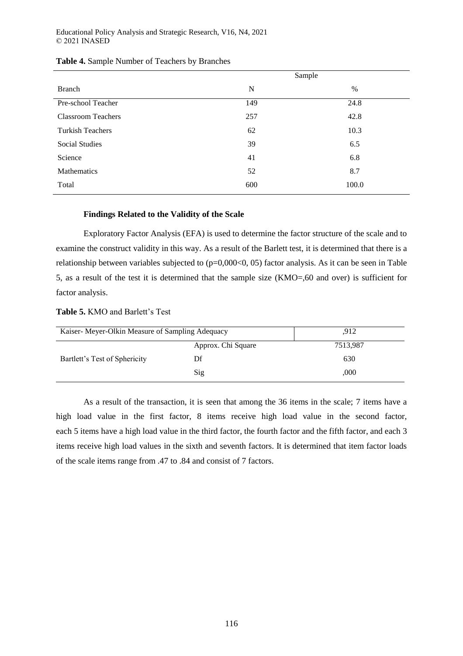|                           |     | Sample |
|---------------------------|-----|--------|
| <b>Branch</b>             | N   | $\%$   |
| Pre-school Teacher        | 149 | 24.8   |
| <b>Classroom Teachers</b> | 257 | 42.8   |
| <b>Turkish Teachers</b>   | 62  | 10.3   |
| <b>Social Studies</b>     | 39  | 6.5    |
| Science                   | 41  | 6.8    |
| Mathematics               | 52  | 8.7    |
| Total                     | 600 | 100.0  |

### **Table 4.** Sample Number of Teachers by Branches

## **Findings Related to the Validity of the Scale**

Exploratory Factor Analysis (EFA) is used to determine the factor structure of the scale and to examine the construct validity in this way. As a result of the Barlett test, it is determined that there is a relationship between variables subjected to (p=0,000<0, 05) factor analysis. As it can be seen in Table 5, as a result of the test it is determined that the sample size (KMO=,60 and over) is sufficient for factor analysis.

**Table 5.** KMO and Barlett's Test

| Kaiser-Meyer-Olkin Measure of Sampling Adequacy |                    | .912     |
|-------------------------------------------------|--------------------|----------|
|                                                 | Approx. Chi Square | 7513,987 |
| Bartlett's Test of Sphericity                   | Df                 | 630      |
|                                                 | Sig                | ,000     |

As a result of the transaction, it is seen that among the 36 items in the scale; 7 items have a high load value in the first factor, 8 items receive high load value in the second factor, each 5 items have a high load value in the third factor, the fourth factor and the fifth factor, and each 3 items receive high load values in the sixth and seventh factors. It is determined that item factor loads of the scale items range from .47 to .84 and consist of 7 factors.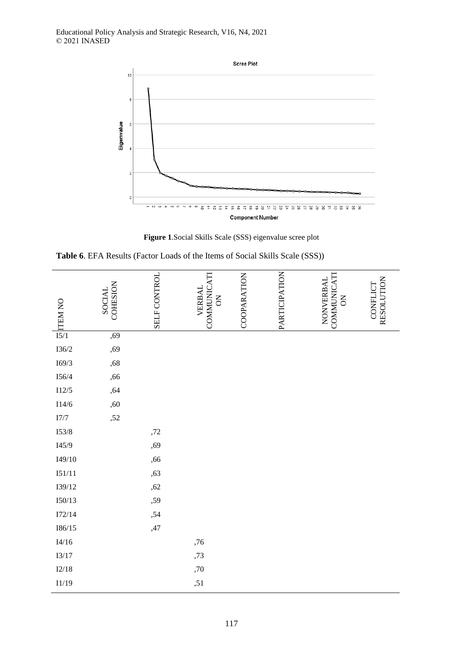



**Table 6**. EFA Results (Factor Loads of the Items of Social Skills Scale (SSS))

| $\frac{1}{15/1}$ IS/1            | COHESION<br>SOCIAL | SELF CONTROL | COMMUNICATI<br>VERBAL<br>$\lesssim$ | COOPARATION | PARTICIPATION | COMMUNICATI<br><b>NONVERBAL</b><br>$\rm \stackrel{>}{\rm \sim}$ | RESOLUTION<br>CONFLICT |
|----------------------------------|--------------------|--------------|-------------------------------------|-------------|---------------|-----------------------------------------------------------------|------------------------|
|                                  | ,69                |              |                                     |             |               |                                                                 |                        |
| $I36/2$                          | ,69                |              |                                     |             |               |                                                                 |                        |
| I69/3                            | ,68                |              |                                     |             |               |                                                                 |                        |
| $I56/4$                          | ,66                |              |                                     |             |               |                                                                 |                        |
| $I12/5$                          | ,64                |              |                                     |             |               |                                                                 |                        |
| $I14/6$                          | ,60                |              |                                     |             |               |                                                                 |                        |
| $\ensuremath{17}/\ensuremath{7}$ | ,52                |              |                                     |             |               |                                                                 |                        |
| $I53/8$                          |                    | ${,}72$      |                                     |             |               |                                                                 |                        |
| $I45/9$                          |                    | ,69          |                                     |             |               |                                                                 |                        |
| $I49/10$                         |                    | ,66          |                                     |             |               |                                                                 |                        |
| $I51/11$                         |                    | ,63          |                                     |             |               |                                                                 |                        |
| I39/12                           |                    | ,62          |                                     |             |               |                                                                 |                        |
| $I50/13$                         |                    | ,59          |                                     |             |               |                                                                 |                        |
| $\rm I72/14$                     |                    | ,54          |                                     |             |               |                                                                 |                        |
| $I86/15$                         |                    | ,47          |                                     |             |               |                                                                 |                        |
| I4/16                            |                    |              | ,76                                 |             |               |                                                                 |                        |
| $I3/17$                          |                    |              | $,73$                               |             |               |                                                                 |                        |
| $I2/18$                          |                    |              | $,70\,$                             |             |               |                                                                 |                        |
| I1/19                            |                    |              | ,51                                 |             |               |                                                                 |                        |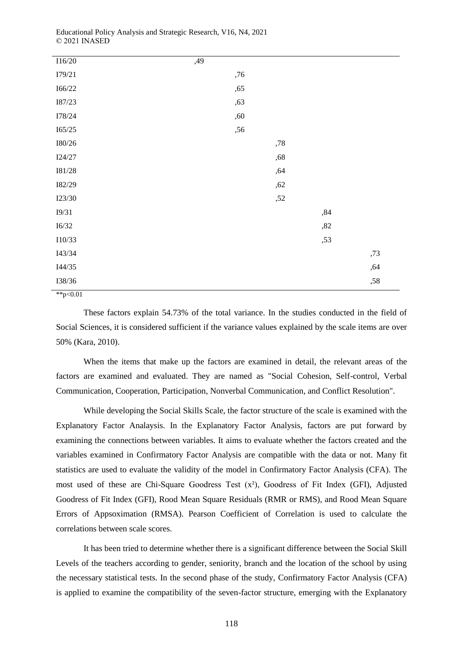| I16/20        | ,49   |         |       |     |
|---------------|-------|---------|-------|-----|
| I79/21        | ,76   |         |       |     |
| $I66/22$      | ,65   |         |       |     |
| <b>I87/23</b> | ,63   |         |       |     |
| I78/24        | $,60$ |         |       |     |
| $I65/25$      | ,56   |         |       |     |
| <b>I80/26</b> |       | ${,}78$ |       |     |
| I24/27        |       | $,68$   |       |     |
| I81/28        |       | ,64     |       |     |
| I82/29        |       | ,62     |       |     |
| I23/30        |       | ,52     |       |     |
| I9/31         |       |         | ,84   |     |
| $I6/32$       |       |         | $,82$ |     |
| $I10/33$      |       |         | ,53   |     |
| I43/34        |       |         |       | ,73 |
| I44/35        |       |         |       | ,64 |
| I38/36        |       |         |       | ,58 |

Educational Policy Analysis and Strategic Research, V16, N4, 2021 © 2021 INASED

\*\*p<0.01

These factors explain 54.73% of the total variance. In the studies conducted in the field of Social Sciences, it is considered sufficient if the variance values explained by the scale items are over 50% (Kara, 2010).

When the items that make up the factors are examined in detail, the relevant areas of the factors are examined and evaluated. They are named as "Social Cohesion, Self-control, Verbal Communication, Cooperation, Participation, Nonverbal Communication, and Conflict Resolution".

While developing the Social Skills Scale, the factor structure of the scale is examined with the Explanatory Factor Analaysis. In the Explanatory Factor Analysis, factors are put forward by examining the connections between variables. It aims to evaluate whether the factors created and the variables examined in Confirmatory Factor Analysis are compatible with the data or not. Many fit statistics are used to evaluate the validity of the model in Confirmatory Factor Analysis (CFA). The most used of these are Chi-Square Goodress Test (x²), Goodress of Fit Index (GFI), Adjusted Goodress of Fit Index (GFI), Rood Mean Square Residuals (RMR or RMS), and Rood Mean Square Errors of Appsoximation (RMSA). Pearson Coefficient of Correlation is used to calculate the correlations between scale scores.

It has been tried to determine whether there is a significant difference between the Social Skill Levels of the teachers according to gender, seniority, branch and the location of the school by using the necessary statistical tests. In the second phase of the study, Confirmatory Factor Analysis (CFA) is applied to examine the compatibility of the seven-factor structure, emerging with the Explanatory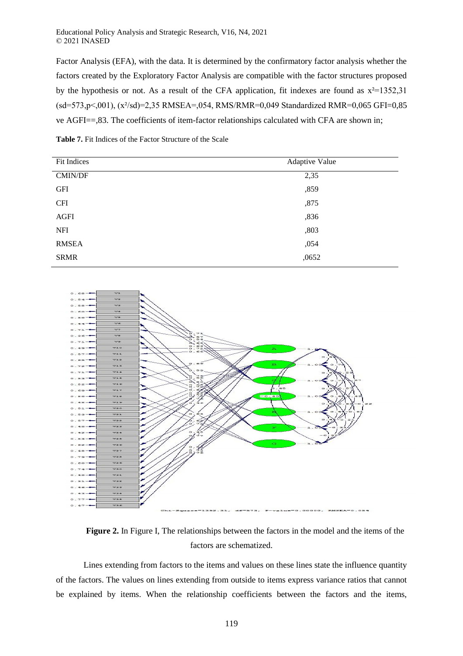Educational Policy Analysis and Strategic Research, V16, N4, 2021 © 2021 INASED

Factor Analysis (EFA), with the data. It is determined by the confirmatory factor analysis whether the factors created by the Exploratory Factor Analysis are compatible with the factor structures proposed by the hypothesis or not. As a result of the CFA application, fit indexes are found as  $x^2$ =1352,31 (sd=573,p<,001), (x²/sd)=2,35 RMSEA=,054, RMS/RMR=0,049 Standardized RMR=0,065 GFI=0,85 ve AGFI==,83. The coefficients of item-factor relationships calculated with CFA are shown in;

| Fit Indices    | <b>Adaptive Value</b> |
|----------------|-----------------------|
| <b>CMIN/DF</b> | 2,35                  |
| <b>GFI</b>     | ,859                  |
| <b>CFI</b>     | ,875                  |
| <b>AGFI</b>    | ,836                  |
| <b>NFI</b>     | ,803                  |
| <b>RMSEA</b>   | ,054                  |
| <b>SRMR</b>    | ,0652                 |

**Table 7.** Fit Indices of the Factor Structure of the Scale



**Figure 2.** In Figure I, The relationships between the factors in the model and the items of the factors are schematized.

Lines extending from factors to the items and values on these lines state the influence quantity of the factors. The values on lines extending from outside to items express variance ratios that cannot be explained by items. When the relationship coefficients between the factors and the items,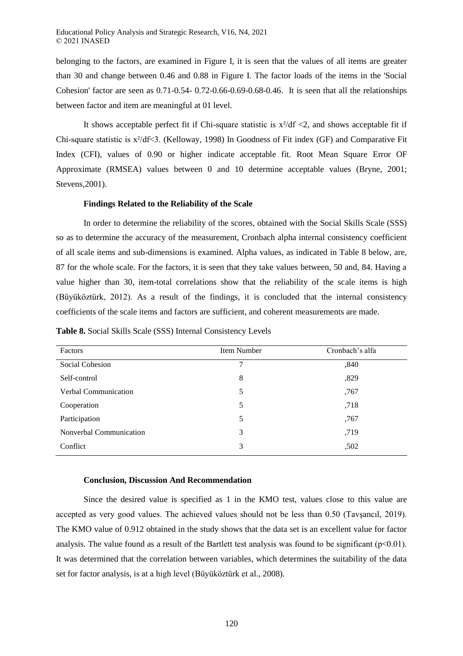belonging to the factors, are examined in Figure I, it is seen that the values of all items are greater than 30 and change between 0.46 and 0.88 in Figure I. The factor loads of the items in the 'Social Cohesion' factor are seen as 0.71-0.54- 0.72-0.66-0.69-0.68-0.46. It is seen that all the relationships between factor and item are meaningful at 01 level.

It shows acceptable perfect fit if Chi-square statistic is  $x^2/df \le 2$ , and shows acceptable fit if Chi-square statistic is x²/df<3. (Kelloway, 1998) In Goodness of Fit index (GF) and Comparative Fit Index (CFI), values of 0.90 or higher indicate acceptable fit. Root Mean Square Error OF Approximate (RMSEA) values between 0 and 10 determine acceptable values (Bryne, 2001; Stevens,2001).

### **Findings Related to the Reliability of the Scale**

In order to determine the reliability of the scores, obtained with the Social Skills Scale (SSS) so as to determine the accuracy of the measurement, Cronbach alpha internal consistency coefficient of all scale items and sub-dimensions is examined. Alpha values, as indicated in Table 8 below, are, 87 for the whole scale. For the factors, it is seen that they take values between, 50 and, 84. Having a value higher than 30, item-total correlations show that the reliability of the scale items is high (Büyüköztürk, 2012). As a result of the findings, it is concluded that the internal consistency coefficients of the scale items and factors are sufficient, and coherent measurements are made.

| Factors                     | Item Number | Cronbach's alfa |
|-----------------------------|-------------|-----------------|
| Social Cohesion             | 7           | ,840            |
| Self-control                | 8           | ,829            |
| <b>Verbal Communication</b> | 5           | ,767            |
| Cooperation                 | 5           | ,718            |
| Participation               | 5           | ,767            |
| Nonverbal Communication     | 3           | ,719            |
| Conflict                    | 3           | ,502            |

**Table 8.** Social Skills Scale (SSS) Internal Consistency Levels

#### **Conclusion, Discussion And Recommendation**

Since the desired value is specified as 1 in the KMO test, values close to this value are accepted as very good values. The achieved values should not be less than 0.50 (Tavşancıl, 2019). The KMO value of 0.912 obtained in the study shows that the data set is an excellent value for factor analysis. The value found as a result of the Bartlett test analysis was found to be significant ( $p<0.01$ ). It was determined that the correlation between variables, which determines the suitability of the data set for factor analysis, is at a high level (Büyüköztürk et al., 2008).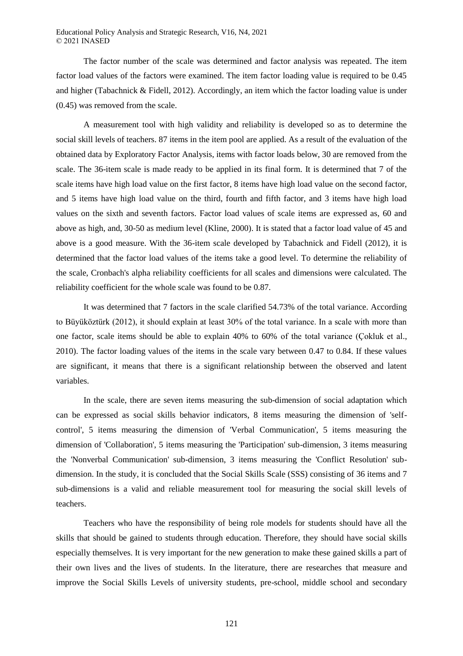The factor number of the scale was determined and factor analysis was repeated. The item factor load values of the factors were examined. The item factor loading value is required to be 0.45 and higher (Tabachnick & Fidell, 2012). Accordingly, an item which the factor loading value is under (0.45) was removed from the scale.

A measurement tool with high validity and reliability is developed so as to determine the social skill levels of teachers. 87 items in the item pool are applied. As a result of the evaluation of the obtained data by Exploratory Factor Analysis, items with factor loads below, 30 are removed from the scale. The 36-item scale is made ready to be applied in its final form. It is determined that 7 of the scale items have high load value on the first factor, 8 items have high load value on the second factor, and 5 items have high load value on the third, fourth and fifth factor, and 3 items have high load values on the sixth and seventh factors. Factor load values of scale items are expressed as, 60 and above as high, and, 30-50 as medium level (Kline, 2000). It is stated that a factor load value of 45 and above is a good measure. With the 36-item scale developed by Tabachnick and Fidell (2012), it is determined that the factor load values of the items take a good level. To determine the reliability of the scale, Cronbach's alpha reliability coefficients for all scales and dimensions were calculated. The reliability coefficient for the whole scale was found to be 0.87.

It was determined that 7 factors in the scale clarified 54.73% of the total variance. According to Büyüköztürk (2012), it should explain at least 30% of the total variance. In a scale with more than one factor, scale items should be able to explain 40% to 60% of the total variance (Çokluk et al., 2010). The factor loading values of the items in the scale vary between 0.47 to 0.84. If these values are significant, it means that there is a significant relationship between the observed and latent variables.

In the scale, there are seven items measuring the sub-dimension of social adaptation which can be expressed as social skills behavior indicators, 8 items measuring the dimension of 'selfcontrol', 5 items measuring the dimension of 'Verbal Communication', 5 items measuring the dimension of 'Collaboration', 5 items measuring the 'Participation' sub-dimension, 3 items measuring the 'Nonverbal Communication' sub-dimension, 3 items measuring the 'Conflict Resolution' subdimension. In the study, it is concluded that the Social Skills Scale (SSS) consisting of 36 items and 7 sub-dimensions is a valid and reliable measurement tool for measuring the social skill levels of teachers.

Teachers who have the responsibility of being role models for students should have all the skills that should be gained to students through education. Therefore, they should have social skills especially themselves. It is very important for the new generation to make these gained skills a part of their own lives and the lives of students. In the literature, there are researches that measure and improve the Social Skills Levels of university students, pre-school, middle school and secondary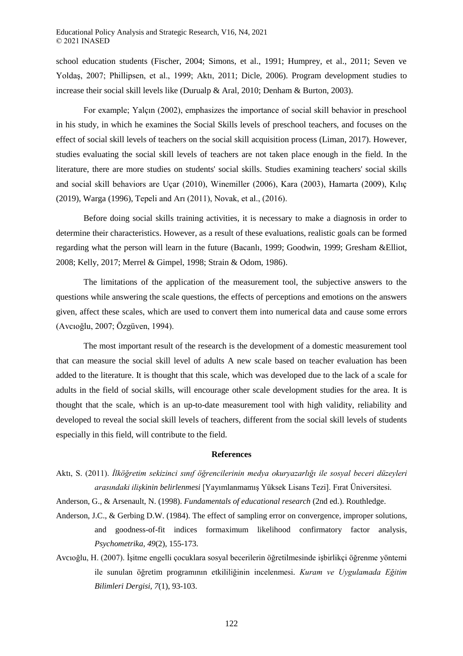school education students (Fischer, 2004; Simons, et al., 1991; Humprey, et al., 2011; Seven ve Yoldaş, 2007; Phillipsen, et al., 1999; Aktı, 2011; Dicle, 2006). Program development studies to increase their social skill levels like (Durualp & Aral, 2010; Denham & Burton, 2003).

For example; Yalçın (2002), emphasizes the importance of social skill behavior in preschool in his study, in which he examines the Social Skills levels of preschool teachers, and focuses on the effect of social skill levels of teachers on the social skill acquisition process (Liman, 2017). However, studies evaluating the social skill levels of teachers are not taken place enough in the field. In the literature, there are more studies on students' social skills. Studies examining teachers' social skills and social skill behaviors are Uçar (2010), Winemiller (2006), Kara (2003), Hamarta (2009), Kılıç (2019), Warga (1996), Tepeli and Arı (2011), Novak, et al., (2016).

Before doing social skills training activities, it is necessary to make a diagnosis in order to determine their characteristics. However, as a result of these evaluations, realistic goals can be formed regarding what the person will learn in the future (Bacanlı, 1999; Goodwin, 1999; Gresham &Elliot, 2008; Kelly, 2017; Merrel & Gimpel, 1998; Strain & Odom, 1986).

The limitations of the application of the measurement tool, the subjective answers to the questions while answering the scale questions, the effects of perceptions and emotions on the answers given, affect these scales, which are used to convert them into numerical data and cause some errors (Avcıoğlu, 2007; Özgüven, 1994).

The most important result of the research is the development of a domestic measurement tool that can measure the social skill level of adults A new scale based on teacher evaluation has been added to the literature. It is thought that this scale, which was developed due to the lack of a scale for adults in the field of social skills, will encourage other scale development studies for the area. It is thought that the scale, which is an up-to-date measurement tool with high validity, reliability and developed to reveal the social skill levels of teachers, different from the social skill levels of students especially in this field, will contribute to the field.

#### **References**

- Aktı, S. (2011). *İlköğretim sekizinci sınıf öğrencilerinin medya okuryazarlığı ile sosyal beceri düzeyleri arasındaki ilişkinin belirlenmesi* [Yayımlanmamış Yüksek Lisans Tezi]. Fırat Üniversitesi.
- Anderson, G., & Arsenault, N. (1998). *Fundamentals of educational research* (2nd ed.). Routhledge.
- Anderson, J.C., & Gerbing D.W. (1984). The effect of sampling error on convergence, improper solutions, and goodness-of-fit indices formaximum likelihood confirmatory factor analysis, *Psychometrika, 49*(2), 155-173.
- Avcıoğlu, H. (2007). İşitme engelli çocuklara sosyal becerilerin öğretilmesinde işbirlikçi öğrenme yöntemi ile sunulan öğretim programının etkililiğinin incelenmesi. *Kuram ve Uygulamada Eğitim Bilimleri Dergisi, 7*(1), 93-103.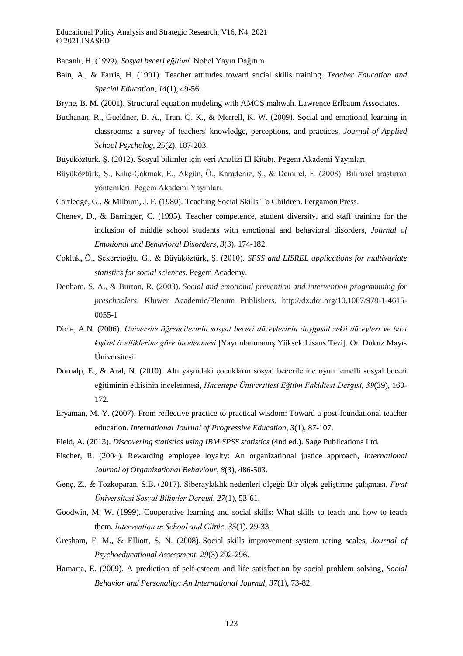Bacanlı, H. (1999). *Sosyal beceri eğitimi.* Nobel Yayın Dağıtım.

- Bain, A., & Farris, H. (1991). Teacher attitudes toward social skills training. *Teacher Education and Special Education, 14*(1), 49-56.
- Bryne, B. M. (2001). Structural equation modeling with AMOS mahwah. Lawrence Erlbaum Associates.
- Buchanan, R., Gueldner, B. A., Tran. O. K., & Merrell, K. W. (2009). Social and emotional learning in classrooms: a survey of teachers' knowledge, perceptions, and practices, *Journal of Applied School Psycholog, 25*(2), 187-203.
- Büyüköztürk, Ş. (2012). Sosyal bilimler için veri Analizi El Kitabı. Pegem Akademi Yayınları.
- Büyüköztürk, Ş., Kılıç-Çakmak, E., Akgün, Ö., Karadeniz, Ş., & Demirel, F. (2008). Bilimsel araştırma yöntemleri. Pegem Akademi Yayınları.
- Cartledge, G., & Milburn, J. F. (1980). Teaching Social Skills To Children. Pergamon Press.
- Cheney, D., & Barringer, C. (1995). Teacher competence, student diversity, and staff training for the inclusion of middle school students with emotional and behavioral disorders, *Journal of Emotional and Behavioral Disorders, 3*(3), 174-182.
- Çokluk, Ö., Şekercioğlu, G., & Büyüköztürk, Ş. (2010). *SPSS and LISREL applications for multivariate statistics for social sciences.* Pegem Academy.
- Denham, S. A., & Burton, R. (2003). *Social and emotional prevention and intervention programming for preschoolers*. Kluwer Academic/Plenum Publishers. http://dx.doi.org/10.1007/978-1-4615- 0055-1
- Dicle, A.N. (2006). *Üniversite öğrencilerinin sosyal beceri düzeylerinin duygusal zekâ düzeyleri ve bazı kişisel özelliklerine göre incelenmesi* [Yayımlanmamış Yüksek Lisans Tezi]. On Dokuz Mayıs Üniversitesi.
- Durualp, E., & Aral, N. (2010). Altı yaşındaki çocukların sosyal becerilerine oyun temelli sosyal beceri eğitiminin etkisinin incelenmesi, *Hacettepe Üniversitesi Eğitim Fakültesi Dergisi, 39*(39), 160- 172.
- Eryaman, M. Y. (2007). From reflective practice to practical wisdom: Toward a post-foundational teacher education. *International Journal of Progressive Education, 3*(1), 87-107.
- Field, A. (2013). *Discovering statistics using IBM SPSS statistics* (4nd ed.). Sage Publications Ltd.
- Fischer, R. (2004). Rewarding employee loyalty: An organizational justice approach, *International Journal of Organizational Behaviour, 8*(3), 486-503.
- Genç, Z., & Tozkoparan, S.B. (2017). Siberaylaklık nedenleri ölçeği: Bir ölçek geliştirme çalışması*, Fırat Üniversitesi Sosyal Bilimler Dergisi, 27*(1), 53-61.
- Goodwin, M. W. (1999). Cooperative learning and social skills: What skills to teach and how to teach them, *Intervention ın School and Clinic, 35*(1), 29-33.
- Gresham, F. M., & Elliott, S. N. (2008). Social skills improvement system rating scales, *Journal of Psychoeducational Assessment, 29*(3) 292-296.
- Hamarta, E. (2009). A prediction of self-esteem and life satisfaction by social problem solving, *Social Behavior and Personality: An International Journal, 37*(1), 73-82.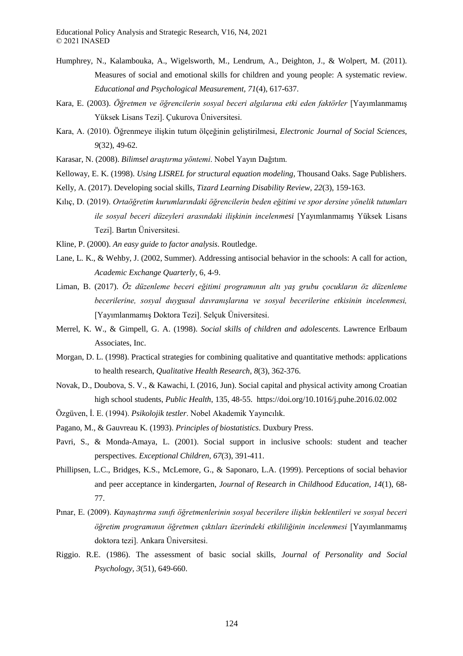- Humphrey, N., Kalambouka, A., Wigelsworth, M., Lendrum, A., Deighton, J., & Wolpert, M. (2011). Measures of social and emotional skills for children and young people: A systematic review. *Educational and Psychological Measurement, 71*(4), 617-637.
- Kara, E. (2003). *Öğretmen ve öğrencilerin sosyal beceri algılarına etki eden faktörler* [Yayımlanmamış Yüksek Lisans Tezi]. Çukurova Üniversitesi.
- Kara, A. (2010). Öğrenmeye ilişkin tutum ölçeğinin geliştirilmesi, *Electronic Journal of Social Sciences, 9*(32), 49-62.
- Karasar, N. (2008). *Bilimsel araştırma yöntemi*. Nobel Yayın Dağıtım.
- Kelloway, E. K. (1998). *Using LISREL for structural equation modeling,* Thousand Oaks. Sage Publishers.
- Kelly, A. (2017). Developing social skills, *Tizard Learning Disability Review, 22*(3), 159-163.
- Kılıç, D. (2019). *Ortaöğretim kurumlarındaki öğrencilerin beden eğitimi ve spor dersine yönelik tutumları ile sosyal beceri düzeyleri arasındaki ilişkinin incelenmesi* [Yayımlanmamış Yüksek Lisans Tezi]. Bartın Üniversitesi.
- Kline, P. (2000). *An easy guide to factor analysis*. Routledge.
- Lane, L. K., & Wehby, J. (2002, Summer). Addressing antisocial behavior in the schools: A call for action, *Academic Exchange Quarterly*, 6, 4-9.
- Liman, B. (2017). *Öz düzenleme beceri eğitimi programının altı yaş grubu çocukların öz düzenleme becerilerine, sosyal duygusal davranışlarına ve sosyal becerilerine etkisinin incelenmesi,* [Yayımlanmamış Doktora Tezi]. Selçuk Üniversitesi.
- Merrel, K. W., & Gimpell, G. A. (1998). *Social skills of children and adolescents*. Lawrence Erlbaum Associates, Inc.
- Morgan, D. L. (1998). Practical strategies for combining qualitative and quantitative methods: applications to health research, *Qualitative Health Research, 8*(3), 362-376.
- Novak, D., Doubova, S. V., & Kawachi, I. (2016, Jun). Social capital and physical activity among Croatian high school students, *Public Health*, 135, 48-55. https://doi.org/10.1016/j.puhe.2016.02.002
- Özgüven, İ. E. (1994). *Psikolojik testler*. Nobel Akademik Yayıncılık.
- Pagano, M., & Gauvreau K. (1993). *Principles of biostatistics*. Duxbury Press.
- Pavri, S., & Monda-Amaya, L. (2001). Social support in inclusive schools: student and teacher perspectives. *Exceptional Children, 67*(3), 391-411.
- Phillipsen, L.C., Bridges, K.S., McLemore, G., & Saponaro, L.A. (1999). Perceptions of social behavior and peer acceptance in kindergarten, *Journal of Research in Childhood Education, 14*(1), 68- 77.
- Pınar, E. (2009). *Kaynaştırma sınıfı öğretmenlerinin sosyal becerilere ilişkin beklentileri ve sosyal beceri öğretim programının öğretmen çıktıları üzerindeki etkililiğinin incelenmesi* [Yayımlanmamış doktora tezi]. Ankara Üniversitesi.
- Riggio. R.E. (1986). The assessment of basic social skills, *Journal of Personality and Social Psychology, 3*(51), 649-660.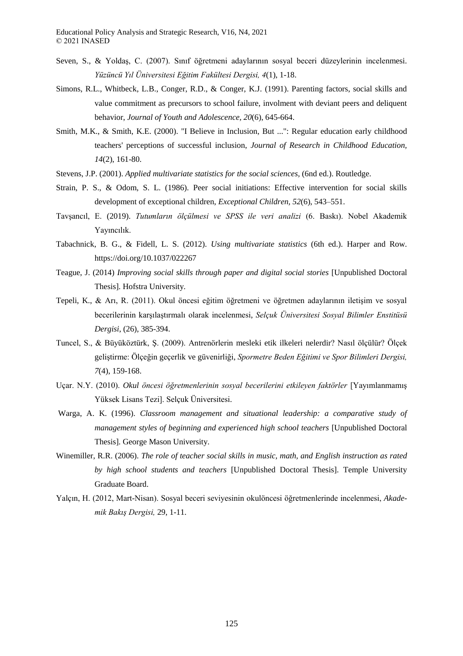- Seven, S., & Yoldaş, C. (2007). Sınıf öğretmeni adaylarının sosyal beceri düzeylerinin incelenmesi. *Yüzüncü Yıl Üniversitesi Eğitim Fakültesi Dergisi, 4*(1), 1-18.
- Simons, R.L., Whitbeck, L.B., Conger, R.D., & Conger, K.J. (1991). Parenting factors, social skills and value commitment as precursors to school failure, involment with deviant peers and deliquent behavior, *Journal of Youth and Adolescence, 20*(6), 645-664.
- Smith, M.K., & Smith, K.E. (2000). "I Believe in Inclusion, But ...": Regular education early childhood teachers' perceptions of successful inclusion, *Journal of Research in Childhood Education, 14*(2), 161-80.
- Stevens, J.P. (2001). *Applied multivariate statistics for the social sciences,* (6nd ed.). Routledge.
- Strain, P. S., & Odom, S. L. (1986). Peer social initiations: Effective intervention for social skills development of exceptional children, *Exceptional Children, 52*(6), 543–551.
- Tavşancıl, E. (2019). *Tutumların ölçülmesi ve SPSS ile veri analizi* (6. Baskı). Nobel Akademik Yayıncılık.
- Tabachnick, B. G., & Fidell, L. S. (2012). *Using multivariate statistics* (6th ed.). Harper and Row. https://doi.org/10.1037/022267
- Teague, J. (2014) *Improving social skills through paper and digital social stories* [Unpublished Doctoral Thesis]. Hofstra University.
- Tepeli, K., & Arı, R. (2011). Okul öncesi eğitim öğretmeni ve öğretmen adaylarının iletişim ve sosyal becerilerinin karşılaştırmalı olarak incelenmesi, *Selçuk Üniversitesi Sosyal Bilimler Enstitüsü Dergisi*, (26), 385-394.
- Tuncel, S., & Büyüköztürk, Ş. (2009). Antrenörlerin mesleki etik ilkeleri nelerdir? Nasıl ölçülür? Ölçek geliştirme: Ölçeğin geçerlik ve güvenirliği, *Spormetre Beden Eğitimi ve Spor Bilimleri Dergisi, 7*(4), 159-168.
- Uçar. N.Y. (2010). *Okul öncesi öğretmenlerinin sosyal becerilerini etkileyen faktörler* [Yayımlanmamış Yüksek Lisans Tezi]. Selçuk Üniversitesi.
- Warga, A. K. (1996). *Classroom management and situational leadership: a comparative study of management styles of beginning and experienced high school teachers* [Unpublished Doctoral Thesis]. George Mason University.
- Winemiller, R.R. (2006). *The role of teacher social skills in music, math, and English instruction as rated by high school students and teachers* [Unpublished Doctoral Thesis]. Temple University Graduate Board.
- Yalçın, H. (2012, Mart-Nisan). Sosyal beceri seviyesinin okulöncesi öğretmenlerinde incelenmesi, *Akademik Bakış Dergisi,* 29, 1-11.